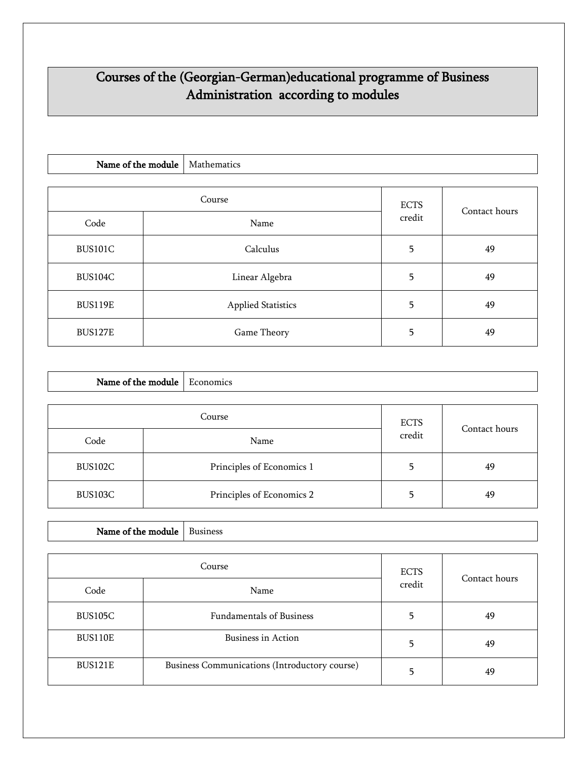## Courses of the (Georgian-German)educational programme of Business Administration according to modules

| Name of the module |  | Mathematics               |        |               |
|--------------------|--|---------------------------|--------|---------------|
|                    |  |                           |        |               |
| Course             |  | <b>ECTS</b>               |        |               |
| Code               |  | Name                      | credit | Contact hours |
| <b>BUS101C</b>     |  | Calculus                  |        | 49            |
| <b>BUS104C</b>     |  | Linear Algebra            | 5      | 49            |
| <b>BUS119E</b>     |  | <b>Applied Statistics</b> | 5      | 49            |
| <b>BUS127E</b>     |  | Game Theory               | 5      | 49            |

| Name of the module    |  | Economics                 |        |               |
|-----------------------|--|---------------------------|--------|---------------|
| Course<br><b>ECTS</b> |  |                           |        |               |
| Code                  |  | Name                      | credit | Contact hours |
| BUS102C               |  | Principles of Economics 1 |        | 49            |
| BUS103C               |  | Principles of Economics 2 |        | 49            |

|         | Course                                        | <b>ECTS</b> | Contact hours |
|---------|-----------------------------------------------|-------------|---------------|
| Code    | Name                                          | credit      |               |
| BUS105C | <b>Fundamentals of Business</b>               | 5           | 49            |
| BUS110E | Business in Action                            | 5           | 49            |
| BUS121E | Business Communications (Introductory course) | 5           | 49            |

Name of the module  $\Big|$  Business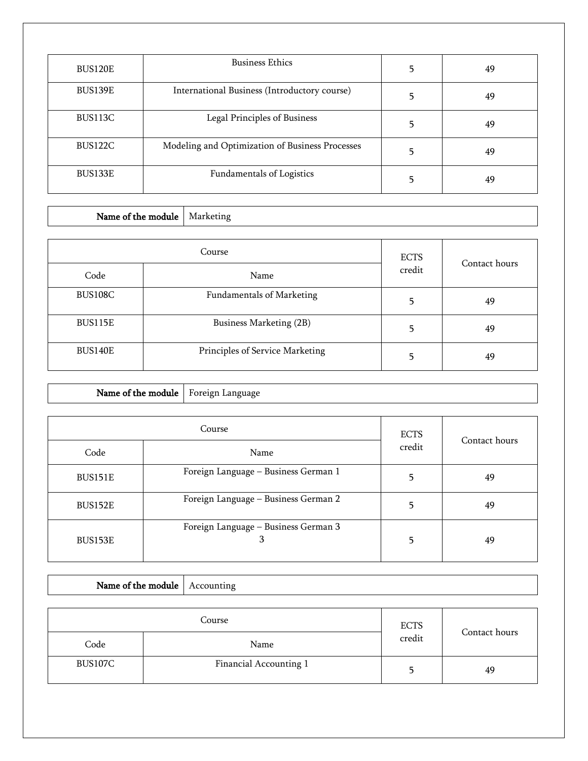| <b>BUS120E</b> | <b>Business Ethics</b>                          | 5 | 49 |
|----------------|-------------------------------------------------|---|----|
| BUS139E        | International Business (Introductory course)    |   | 49 |
| BUS113C        | Legal Principles of Business                    |   | 49 |
| BUS122C        | Modeling and Optimization of Business Processes | 5 | 49 |
| BUS133E        | Fundamentals of Logistics                       |   | 49 |

٦

| Name of the module |  | Marketing                        |               |    |
|--------------------|--|----------------------------------|---------------|----|
|                    |  |                                  |               |    |
| Course             |  | <b>ECTS</b>                      | Contact hours |    |
| Code               |  | Name                             | credit        |    |
| BUS108C            |  | <b>Fundamentals of Marketing</b> | 5             | 49 |
| <b>BUS115E</b>     |  | Business Marketing (2B)          | 5             | 49 |
| <b>BUS140E</b>     |  | Principles of Service Marketing  | 5             | 49 |

|         | Course                                    | <b>ECTS</b> | Contact hours |
|---------|-------------------------------------------|-------------|---------------|
| Code    | Name                                      | credit      |               |
| BUS151E | Foreign Language - Business German 1      | 5           | 49            |
| BUS152E | Foreign Language - Business German 2      |             | 49            |
| BUS153E | Foreign Language - Business German 3<br>З | 5           | 49            |

Name of the module  $\vert$  Foreign Language

т

Г

Name of the module  $\vert$  Accounting

| Course  |                        | <b>ECTS</b> |               |
|---------|------------------------|-------------|---------------|
| Code    | Name                   | credit      | Contact hours |
| BUS107C | Financial Accounting 1 |             | 49            |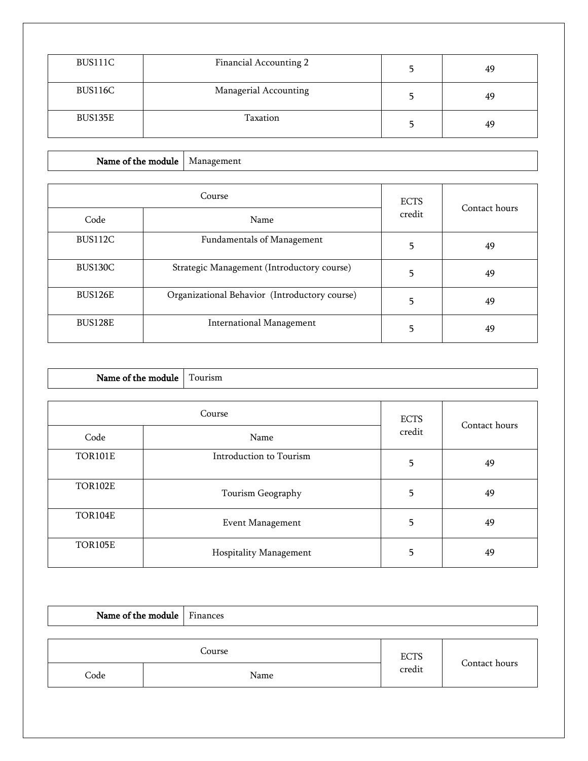| BUS111C | Financial Accounting 2 | 49 |
|---------|------------------------|----|
| BUS116C | Managerial Accounting  | 49 |
| BUS135E | Taxation               | 49 |

Name of the module  $\vert$  Management

|                | Course                                        | <b>ECTS</b><br>credit | Contact hours |
|----------------|-----------------------------------------------|-----------------------|---------------|
| Code           | Name                                          |                       |               |
| BUS112C        | <b>Fundamentals of Management</b>             | 5                     | 49            |
| <b>BUS130C</b> | Strategic Management (Introductory course)    | 5                     | 49            |
| <b>BUS126E</b> | Organizational Behavior (Introductory course) | 5                     | 49            |
| <b>BUS128E</b> | <b>International Management</b>               |                       | 49            |

| Name of the module | Tourism                 |             |               |
|--------------------|-------------------------|-------------|---------------|
|                    |                         |             |               |
|                    | Course                  | <b>ECTS</b> | Contact hours |
| Code               | Name                    | credit      |               |
| <b>TOR101E</b>     | Introduction to Tourism | 5           | 49            |
| <b>TOR102E</b>     | Tourism Geography       | 5           | 49            |
| <b>TOR104E</b>     | <b>Event Management</b> | 5           | 49            |
| <b>TOR105E</b>     | Hospitality Management  | 5           | 49            |

| Name of the module Finances |        |                       |               |
|-----------------------------|--------|-----------------------|---------------|
|                             | Course |                       |               |
| Code                        | Name   | <b>ECTS</b><br>credit | Contact hours |